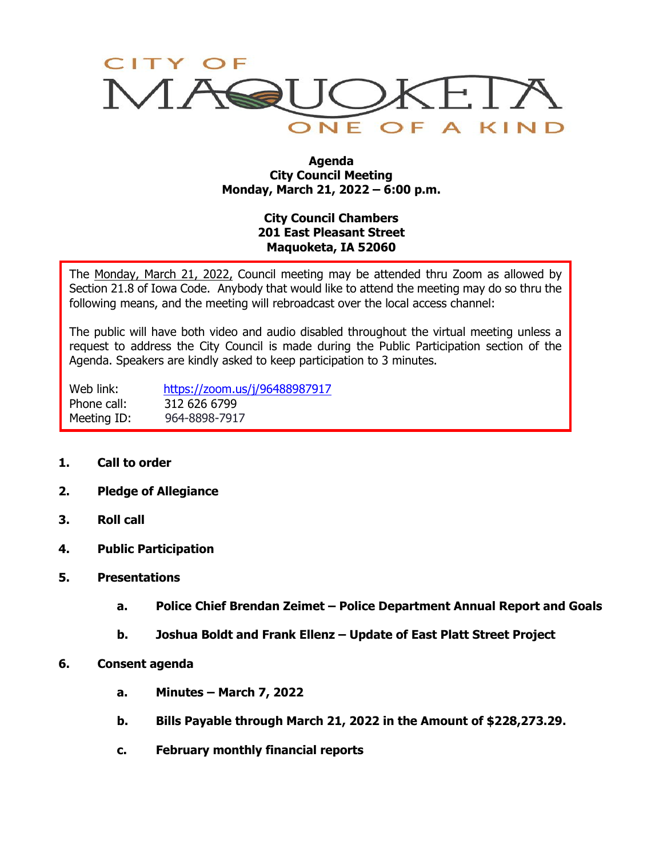

## **Agenda City Council Meeting Monday, March 21, 2022 – 6:00 p.m.**

## **City Council Chambers 201 East Pleasant Street Maquoketa, IA 52060**

The Monday, March 21, 2022, Council meeting may be attended thru Zoom as allowed by Section 21.8 of Iowa Code. Anybody that would like to attend the meeting may do so thru the following means, and the meeting will rebroadcast over the local access channel:

The public will have both video and audio disabled throughout the virtual meeting unless a request to address the City Council is made during the Public Participation section of the Agenda. Speakers are kindly asked to keep participation to 3 minutes.

Web link: <https://zoom.us/j/96488987917> Phone call: 312 626 6799 Meeting ID: 964-8898-7917

- **1. Call to order**
- **2. Pledge of Allegiance**
- **3. Roll call**
- **4. Public Participation**
- **5. Presentations**
	- **a. Police Chief Brendan Zeimet – Police Department Annual Report and Goals**
	- **b. Joshua Boldt and Frank Ellenz – Update of East Platt Street Project**
- **6. Consent agenda**
	- **a. Minutes – March 7, 2022**
	- **b. Bills Payable through March 21, 2022 in the Amount of \$228,273.29.**
	- **c. February monthly financial reports**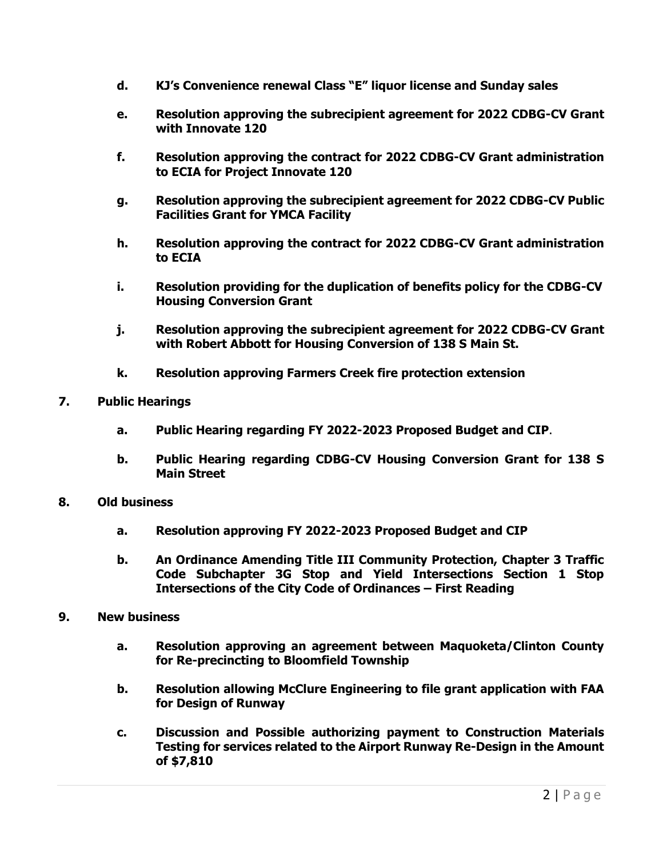- **d. KJ's Convenience renewal Class "E" liquor license and Sunday sales**
- **e. Resolution approving the subrecipient agreement for 2022 CDBG-CV Grant with Innovate 120**
- **f. Resolution approving the contract for 2022 CDBG-CV Grant administration to ECIA for Project Innovate 120**
- **g. Resolution approving the subrecipient agreement for 2022 CDBG-CV Public Facilities Grant for YMCA Facility**
- **h. Resolution approving the contract for 2022 CDBG-CV Grant administration to ECIA**
- **i. Resolution providing for the duplication of benefits policy for the CDBG-CV Housing Conversion Grant**
- **j. Resolution approving the subrecipient agreement for 2022 CDBG-CV Grant with Robert Abbott for Housing Conversion of 138 S Main St.**
- **k. Resolution approving Farmers Creek fire protection extension**
- **7. Public Hearings**
	- **a. Public Hearing regarding FY 2022-2023 Proposed Budget and CIP**.
	- **b. Public Hearing regarding CDBG-CV Housing Conversion Grant for 138 S Main Street**
- **8. Old business**
	- **a. Resolution approving FY 2022-2023 Proposed Budget and CIP**
	- **b. An Ordinance Amending Title III Community Protection, Chapter 3 Traffic Code Subchapter 3G Stop and Yield Intersections Section 1 Stop Intersections of the City Code of Ordinances – First Reading**
- **9. New business**
	- **a. Resolution approving an agreement between Maquoketa/Clinton County for Re-precincting to Bloomfield Township**
	- **b. Resolution allowing McClure Engineering to file grant application with FAA for Design of Runway**
	- **c. Discussion and Possible authorizing payment to Construction Materials Testing for services related to the Airport Runway Re-Design in the Amount of \$7,810**